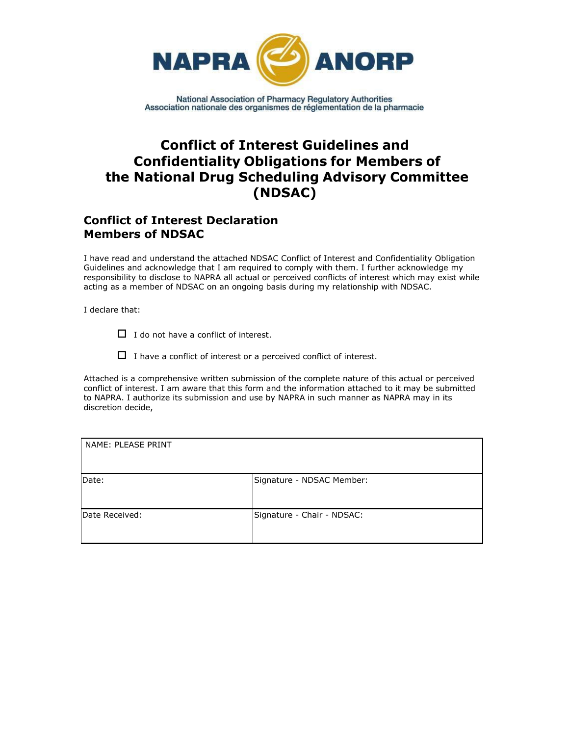

# **Conflict of Interest Guidelines and Confidentiality Obligations for Members of the National Drug Scheduling Advisory Committee (NDSAC)**

# **Conflict of Interest Declaration Members of NDSAC**

I have read and understand the attached NDSAC Conflict of Interest and Confidentiality Obligation Guidelines and acknowledge that I am required to comply with them. I further acknowledge my responsibility to disclose to NAPRA all actual or perceived conflicts of interest which may exist while acting as a member of NDSAC on an ongoing basis during my relationship with NDSAC.

I declare that:

 $\Box$  I do not have a conflict of interest.

 $\Box$  I have a conflict of interest or a perceived conflict of interest.

Attached is a comprehensive written submission of the complete nature of this actual or perceived conflict of interest. I am aware that this form and the information attached to it may be submitted to NAPRA. I authorize its submission and use by NAPRA in such manner as NAPRA may in its discretion decide,

| NAME: PLEASE PRINT |                            |
|--------------------|----------------------------|
| Date:              | Signature - NDSAC Member:  |
| Date Received:     | Signature - Chair - NDSAC: |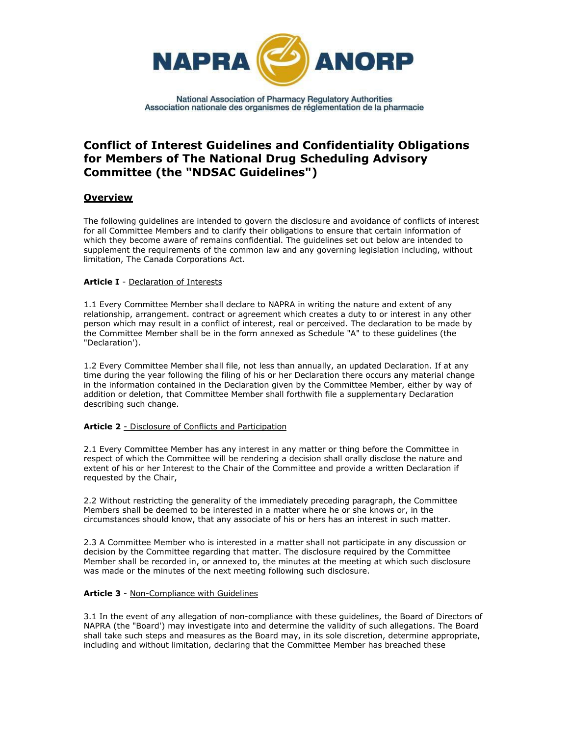

# **Conflict of Interest Guidelines and Confidentiality Obligations for Members of The National Drug Scheduling Advisory Committee (the "NDSAC Guidelines")**

## **Overview**

The following guidelines are intended to govern the disclosure and avoidance of conflicts of interest for all Committee Members and to clarify their obligations to ensure that certain information of which they become aware of remains confidential. The guidelines set out below are intended to supplement the requirements of the common law and any governing legislation including, without limitation, The Canada Corporations Act.

### **Article I** - Declaration of Interests

1.1 Every Committee Member shall declare to NAPRA in writing the nature and extent of any relationship, arrangement. contract or agreement which creates a duty to or interest in any other person which may result in a conflict of interest, real or perceived. The declaration to be made by the Committee Member shall be in the form annexed as Schedule "A" to these guidelines (the "Declaration').

1.2 Every Committee Member shall file, not less than annually, an updated Declaration. If at any time during the year following the filing of his or her Declaration there occurs any material change in the information contained in the Declaration given by the Committee Member, either by way of addition or deletion, that Committee Member shall forthwith file a supplementary Declaration describing such change.

### **Article 2** - Disclosure of Conflicts and Participation

2.1 Every Committee Member has any interest in any matter or thing before the Committee in respect of which the Committee will be rendering a decision shall orally disclose the nature and extent of his or her Interest to the Chair of the Committee and provide a written Declaration if requested by the Chair,

2.2 Without restricting the generality of the immediately preceding paragraph, the Committee Members shall be deemed to be interested in a matter where he or she knows or, in the circumstances should know, that any associate of his or hers has an interest in such matter.

2.3 A Committee Member who is interested in a matter shall not participate in any discussion or decision by the Committee regarding that matter. The disclosure required by the Committee Member shall be recorded in, or annexed to, the minutes at the meeting at which such disclosure was made or the minutes of the next meeting following such disclosure.

### **Article 3** - Non-Compliance with Guidelines

3.1 In the event of any allegation of non-compliance with these guidelines, the Board of Directors of NAPRA (the "Board') may investigate into and determine the validity of such allegations. The Board shall take such steps and measures as the Board may, in its sole discretion, determine appropriate, including and without limitation, declaring that the Committee Member has breached these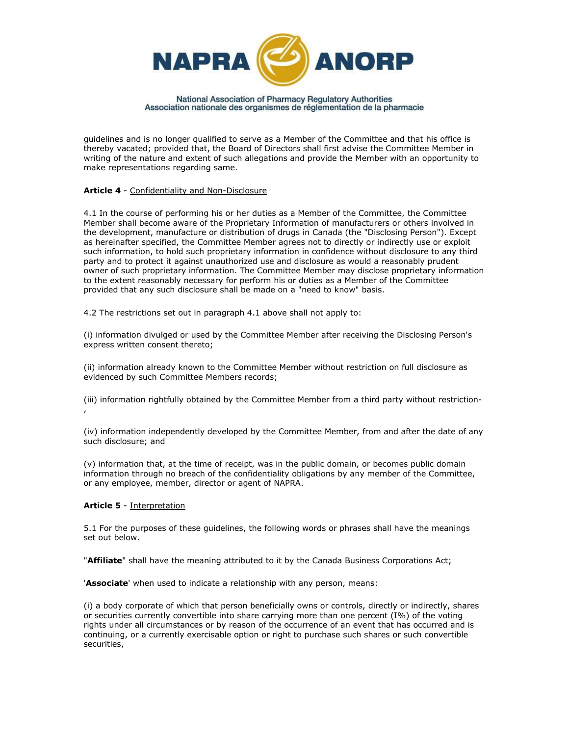

guidelines and is no longer qualified to serve as a Member of the Committee and that his office is thereby vacated; provided that, the Board of Directors shall first advise the Committee Member in writing of the nature and extent of such allegations and provide the Member with an opportunity to make representations regarding same.

### **Article 4** - Confidentiality and Non-Disclosure

4.1 In the course of performing his or her duties as a Member of the Committee, the Committee Member shall become aware of the Proprietary Information of manufacturers or others involved in the development, manufacture or distribution of drugs in Canada (the "Disclosing Person"). Except as hereinafter specified, the Committee Member agrees not to directly or indirectly use or exploit such information, to hold such proprietary information in confidence without disclosure to any third party and to protect it against unauthorized use and disclosure as would a reasonably prudent owner of such proprietary information. The Committee Member may disclose proprietary information to the extent reasonably necessary for perform his or duties as a Member of the Committee provided that any such disclosure shall be made on a "need to know" basis.

4.2 The restrictions set out in paragraph 4.1 above shall not apply to:

(i) information divulged or used by the Committee Member after receiving the Disclosing Person's express written consent thereto;

(ii) information already known to the Committee Member without restriction on full disclosure as evidenced by such Committee Members records;

(iii) information rightfully obtained by the Committee Member from a third party without restriction- ,

(iv) information independently developed by the Committee Member, from and after the date of any such disclosure; and

(v) information that, at the time of receipt, was in the public domain, or becomes public domain information through no breach of the confidentiality obligations by any member of the Committee, or any employee, member, director or agent of NAPRA.

### **Article 5** - Interpretation

5.1 For the purposes of these guidelines, the following words or phrases shall have the meanings set out below.

"**Affiliate**" shall have the meaning attributed to it by the Canada Business Corporations Act;

'**Associate**' when used to indicate a relationship with any person, means:

(i) a body corporate of which that person beneficially owns or controls, directly or indirectly, shares or securities currently convertible into share carrying more than one percent (I%) of the voting rights under all circumstances or by reason of the occurrence of an event that has occurred and is continuing, or a currently exercisable option or right to purchase such shares or such convertible securities,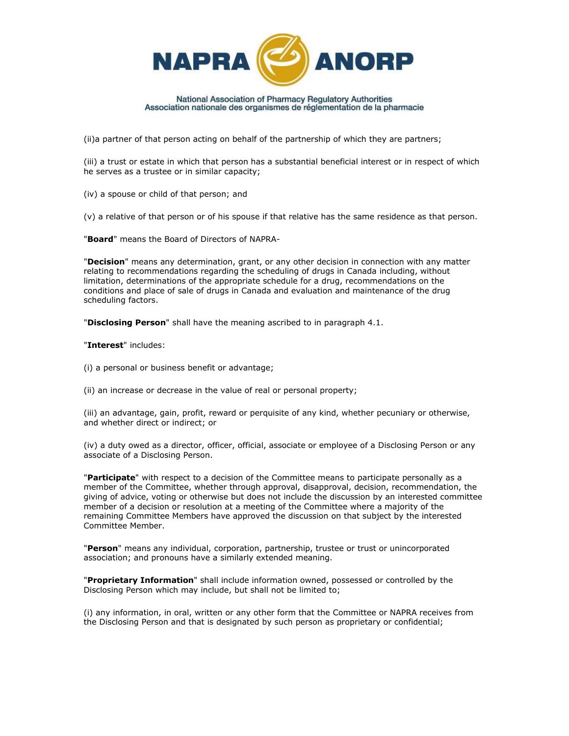

(ii)a partner of that person acting on behalf of the partnership of which they are partners;

(iii) a trust or estate in which that person has a substantial beneficial interest or in respect of which he serves as a trustee or in similar capacity;

(iv) a spouse or child of that person; and

(v) a relative of that person or of his spouse if that relative has the same residence as that person.

"**Board**" means the Board of Directors of NAPRA-

"**Decision**" means any determination, grant, or any other decision in connection with any matter relating to recommendations regarding the scheduling of drugs in Canada including, without limitation, determinations of the appropriate schedule for a drug, recommendations on the conditions and place of sale of drugs in Canada and evaluation and maintenance of the drug scheduling factors.

"**Disclosing Person**" shall have the meaning ascribed to in paragraph 4.1.

"**Interest**" includes:

(i) a personal or business benefit or advantage;

(ii) an increase or decrease in the value of real or personal property;

(iii) an advantage, gain, profit, reward or perquisite of any kind, whether pecuniary or otherwise, and whether direct or indirect; or

(iv) a duty owed as a director, officer, official, associate or employee of a Disclosing Person or any associate of a Disclosing Person.

"**Participate**" with respect to a decision of the Committee means to participate personally as a member of the Committee, whether through approval, disapproval, decision, recommendation, the giving of advice, voting or otherwise but does not include the discussion by an interested committee member of a decision or resolution at a meeting of the Committee where a majority of the remaining Committee Members have approved the discussion on that subject by the interested Committee Member.

"**Person**" means any individual, corporation, partnership, trustee or trust or unincorporated association; and pronouns have a similarly extended meaning.

"**Proprietary Information**" shall include information owned, possessed or controlled by the Disclosing Person which may include, but shall not be limited to;

(i) any information, in oral, written or any other form that the Committee or NAPRA receives from the Disclosing Person and that is designated by such person as proprietary or confidential;